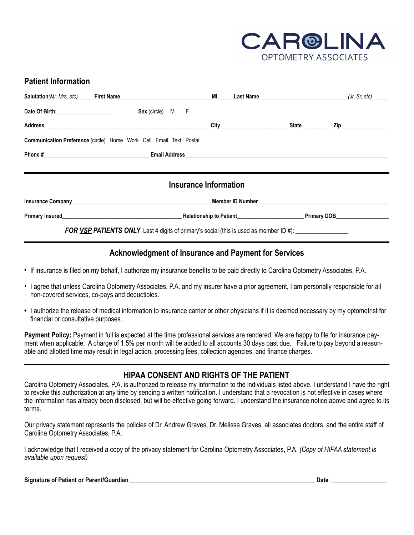

## **Patient Information**

I

| Date Of Birth: Sex (circle) M F                                                                                                                                                                                                |  |  |  |  |  |  |  |  |  |
|--------------------------------------------------------------------------------------------------------------------------------------------------------------------------------------------------------------------------------|--|--|--|--|--|--|--|--|--|
|                                                                                                                                                                                                                                |  |  |  |  |  |  |  |  |  |
| <b>Communication Preference (circle) Home Work Cell Email Text Postal</b>                                                                                                                                                      |  |  |  |  |  |  |  |  |  |
|                                                                                                                                                                                                                                |  |  |  |  |  |  |  |  |  |
|                                                                                                                                                                                                                                |  |  |  |  |  |  |  |  |  |
| Insurance Information                                                                                                                                                                                                          |  |  |  |  |  |  |  |  |  |
|                                                                                                                                                                                                                                |  |  |  |  |  |  |  |  |  |
| Primary Insured Communication Communication Communication Communication Communication Communication Communication Communication Communication Communication Communication Communication Communication Communication Communicat |  |  |  |  |  |  |  |  |  |
| FOR VSP PATIENTS ONLY, Last 4 digits of primary's social (this is used as member ID #): _____________________                                                                                                                  |  |  |  |  |  |  |  |  |  |

## **Acknowledgment of Insurance and Payment for Services**

- *•* If insurance is filed on my behalf, I authorize my insurance benefits to be paid directly to Carolina Optometry Associates, P.A.
- I agree that unless Carolina Optometry Associates, P.A. and my insurer have a prior agreement, I am personally responsible for all non-covered services, co-pays and deductibles.
- I authorize the release of medical information to insurance carrier or other physicians if it is deemed necessary by my optometrist for financial or consultative purposes.

**Payment Policy:** Payment in full is expected at the time professional services are rendered. We are happy to file for insurance payment when applicable. A charge of 1.5% per month will be added to all accounts 30 days past due. Failure to pay beyond a reasonable and allotted time may result in legal action, processing fees, collection agencies, and finance charges.

## **HIPAA CONSENT AND RIGHTS OF THE PATIENT**

Carolina Optometry Associates, P.A. is authorized to release my information to the individuals listed above. I understand I have the right to revoke this authorization at any time by sending a written notification. I understand that a revocation is not effective in cases where the information has already been disclosed, but will be effective going forward. I understand the insurance notice above and agree to its terms.

Our privacy statement represents the policies of Dr. Andrew Graves, Dr. Melissa Graves, all associates doctors, and the entire staff of Carolina Optometry Associates, P.A.

I acknowledge that I received a copy of the privacy statement for Carolina Optometry Associates, P.A. *(Copy of HIPAA statement is available upon request)*

| Signature of Patient or Parent/Guardian: | Date |  |
|------------------------------------------|------|--|
|                                          |      |  |